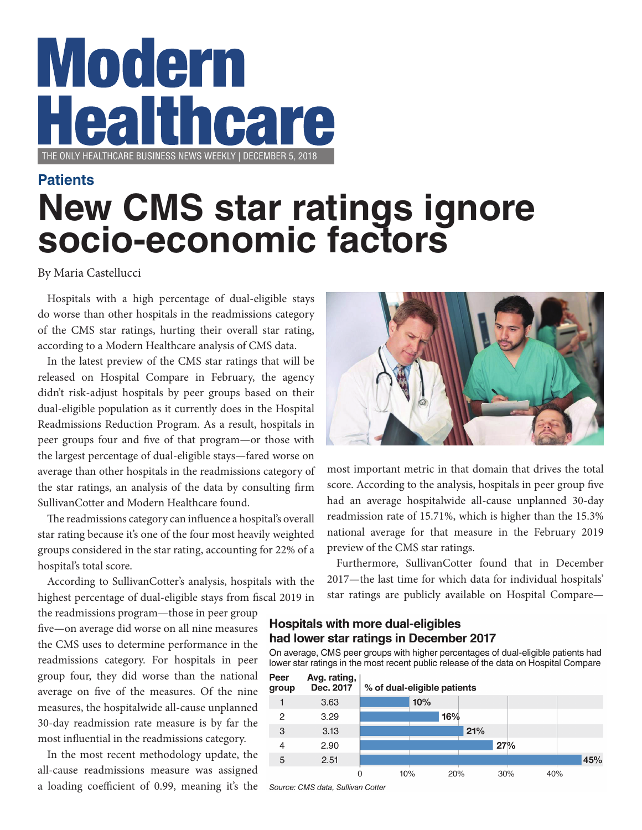# **Modern Care** THE ONLY HEALTHCARE BUSINESS NEWS WEEKLY | DECEMBER 5, 2018

### **New CMS star ratings ignore socio-economic factors Patients**

#### By Maria Castellucci

Hospitals with a high percentage of dual-eligible stays do worse than other hospitals in the readmissions category of the CMS star ratings, hurting their overall star rating, according to a Modern Healthcare analysis of CMS data.

In the latest preview of the CMS star ratings that will be released on Hospital Compare in February, the agency didn't risk-adjust hospitals by peer groups based on their dual-eligible population as it currently does in the Hospital Readmissions Reduction Program. As a result, hospitals in peer groups four and five of that program—or those with the largest percentage of dual-eligible stays—fared worse on average than other hospitals in the readmissions category of the star ratings, an analysis of the data by consulting firm SullivanCotter and Modern Healthcare found.

The readmissions category can influence a hospital's overall star rating because it's one of the four most heavily weighted groups considered in the star rating, accounting for 22% of a hospital's total score.

According to SullivanCotter's analysis, hospitals with the highest percentage of dual-eligible stays from fiscal 2019 in

the readmissions program—those in peer group five—on average did worse on all nine measures the CMS uses to determine performance in the readmissions category. For hospitals in peer group four, they did worse than the national average on five of the measures. Of the nine measures, the hospitalwide all-cause unplanned 30-day readmission rate measure is by far the most influential in the readmissions category.

In the most recent methodology update, the all-cause readmissions measure was assigned a loading coefficient of 0.99, meaning it's the



most important metric in that domain that drives the total score. According to the analysis, hospitals in peer group five had an average hospitalwide all-cause unplanned 30-day readmission rate of 15.71%, which is higher than the 15.3% national average for that measure in the February 2019 preview of the CMS star ratings.

Furthermore, SullivanCotter found that in December 2017—the last time for which data for individual hospitals' star ratings are publicly available on Hospital Compare—

#### **Hospitals with more dual-eligibles** had lower star ratings in December 2017

On average, CMS peer groups with higher percentages of dual-eligible patients had lower star ratings in the most recent public release of the data on Hospital Compare